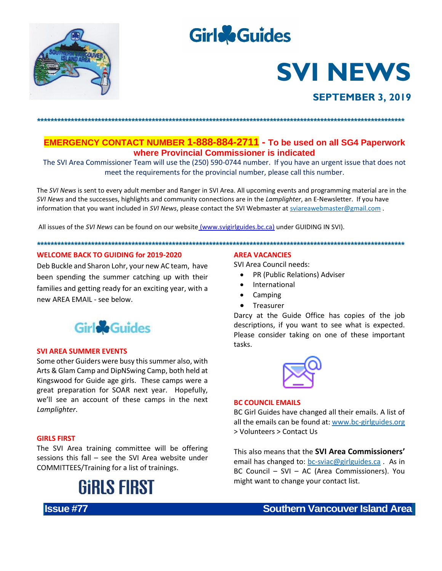

## **Girle**Guides

# **SVI NEWS**

### **SEPTEMBER 3, 2019**

**EMERGENCY CONTACT NUMBER 1-888-884-2711** - To be used on all SG4 Paperwork where Provincial Commissioner is indicated

The SVI Area Commissioner Team will use the (250) 590-0744 number. If you have an urgent issue that does not meet the requirements for the provincial number, please call this number.

The SVI News is sent to every adult member and Ranger in SVI Area. All upcoming events and programming material are in the SVI News and the successes, highlights and community connections are in the Lamplighter, an E-Newsletter. If you have information that you want included in SVI News, please contact the SVI Webmaster at sviareawebmaster@gmail.com.

All issues of the SVI News can be found on our website (www.svigirlguides.bc.ca) under GUIDING IN SVI).

#### **WELCOME BACK TO GUIDING for 2019-2020**

Deb Buckle and Sharon Lohr, your new AC team, have been spending the summer catching up with their families and getting ready for an exciting year, with a new ARFA FMAII - see helow.



#### **SVI AREA SUMMER EVENTS**

Some other Guiders were busy this summer also, with Arts & Glam Camp and DipNSwing Camp, both held at Kingswood for Guide age girls. These camps were a great preparation for SOAR next year. Hopefully, we'll see an account of these camps in the next Lamplighter.

#### **GIRLS FIRST**

**Issue #77** 

The SVI Area training committee will be offering sessions this fall - see the SVI Area website under COMMITTEES/Training for a list of trainings.



#### **AREA VACANCIES**

**SVI Area Council needs:** 

- PR (Public Relations) Adviser  $\bullet$
- International
- Camping
- Treasurer

Darcy at the Guide Office has copies of the job descriptions, if you want to see what is expected. Please consider taking on one of these important tasks.



#### **BC COUNCIL EMAILS**

BC Girl Guides have changed all their emails. A list of all the emails can be found at: www.bc-girlguides.org > Volunteers > Contact Us

This also means that the SVI Area Commissioners' email has changed to: bc-sviac@girlguides.ca. As in BC Council - SVI - AC (Area Commissioners). You might want to change your contact list.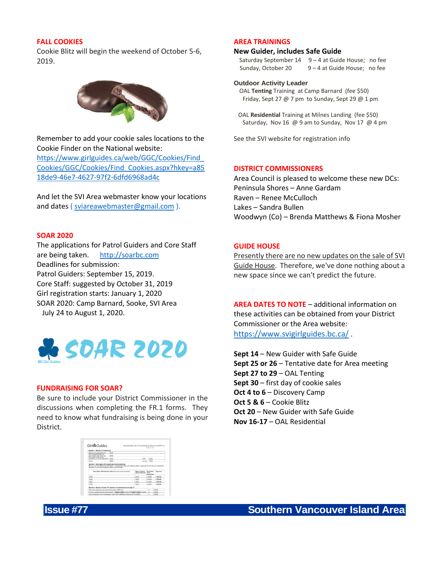#### **FALL COOKIES**

Cookie Blitz will begin the weekend of October 5-6, 2019.



Remember to add your cookie sales locations to the Cookie Finder on the National website: [https://www.girlguides.ca/web/GGC/Cookies/Find\\_](https://www.girlguides.ca/web/GGC/Cookies/Find_Cookies/GGC/Cookies/Find_Cookies.aspx?hkey=a8518de9-46e7-4627-97f2-6dfd6968ad4c) [Cookies/GGC/Cookies/Find\\_Cookies.aspx?hkey=a85](https://www.girlguides.ca/web/GGC/Cookies/Find_Cookies/GGC/Cookies/Find_Cookies.aspx?hkey=a8518de9-46e7-4627-97f2-6dfd6968ad4c) [18de9-46e7-4627-97f2-6dfd6968ad4c](https://www.girlguides.ca/web/GGC/Cookies/Find_Cookies/GGC/Cookies/Find_Cookies.aspx?hkey=a8518de9-46e7-4627-97f2-6dfd6968ad4c)

And let the SVI Area webmaster know your locations and dates ( [sviareawebmaster@gmail.com](mailto:sviareawebmaster@gmail.com) ).

#### **SOAR 2020**

The applications for Patrol Guiders and Core Staff are being taken. [http://soarbc.com](http://soarbc.com/)  Deadlines for submission: Patrol Guiders: September 15, 2019. Core Staff: suggested by October 31, 2019 Girl registration starts: January 1, 2020 SOAR 2020: Camp Barnard, Sooke, SVI Area July 24 to August 1, 2020.



#### **FUNDRAISING FOR SOAR?**

Be sure to include your District Commissioner in the discussions when completing the FR.1 forms. They need to know what fundraising is being done in your District.

|                                                                    | Application for Fundraising Approval (FR.1)                                                                                                                                                     |                        |        | Prize 3 of 3         |   |                  |
|--------------------------------------------------------------------|-------------------------------------------------------------------------------------------------------------------------------------------------------------------------------------------------|------------------------|--------|----------------------|---|------------------|
| Socion 1: Details of Fandraising                                   |                                                                                                                                                                                                 |                        |        |                      |   |                  |
| What are you reteing Kinds for:                                    |                                                                                                                                                                                                 |                        |        |                      |   |                  |
| Who is negliged too aparount.<br>(Unit, Diserse), Area, camp etc.) |                                                                                                                                                                                                 |                        |        |                      |   |                  |
| Paranovable Coater for the                                         |                                                                                                                                                                                                 |                        |        |                      |   |                  |
| activity last you are fundroleing for                              |                                                                                                                                                                                                 |                        | Act 6  |                      |   |                  |
| <b>Phone:</b>                                                      |                                                                                                                                                                                                 |                        | F-mail |                      |   |                  |
|                                                                    | Dresse you have filled in all three fields - mixeleg information may lead to a delay in approval. If more space is required to<br>Description of bandspales excited for such critics sensorial. | Date of Artistic       |        | Pumpings             |   | <b>Locations</b> |
| describe your fundations please at loch a second page.             |                                                                                                                                                                                                 | <b>Idea/month/west</b> |        | Geal<br>(net profit) |   |                  |
|                                                                    |                                                                                                                                                                                                 |                        |        | 51                   |   | Y FRAFT          |
|                                                                    |                                                                                                                                                                                                 |                        |        | t.10                 |   | <b>YELME</b>     |
|                                                                    |                                                                                                                                                                                                 |                        |        | \$1                  |   | YES NET          |
|                                                                    |                                                                                                                                                                                                 |                        |        |                      |   | V EB 683         |
|                                                                    | Section 3: Details of Costs (To calculate, see Instructions on page 1).                                                                                                                         |                        |        |                      |   |                  |
|                                                                    |                                                                                                                                                                                                 |                        |        | ×                    | k |                  |
| Total cost of activity (e.g. Vp. camp improvement, CWFF etc.)      | For transport to the except participant. 5 2000 X 2000 P of pris # 3 2000 X 2000 P of adults                                                                                                    |                        |        |                      |   |                  |

#### **AREA TRAININGS**

#### **New Guider, includes Safe Guide**

Saturday September  $14 \quad 9 - 4$  at Guide House; no fee Sunday, October 20  $9 - 4$  at Guide House; no fee

#### **Outdoor Activity Leader**

 OAL **Tenting** Training at Camp Barnard (fee \$50) Friday, Sept 27  $@$  7 pm to Sunday, Sept 29  $@$  1 pm

 OAL **Residential** Training at Milnes Landing (fee \$50) Saturday, Nov 16 @ 9 am to Sunday, Nov 17 @ 4 pm

See the SVI website for registration info

#### **DISTRICT COMMISSIONERS**

Area Council is pleased to welcome these new DCs: Peninsula Shores – Anne Gardam Raven – Renee McCulloch Lakes – Sandra Bullen Woodwyn (Co) – Brenda Matthews & Fiona Mosher

#### **GUIDE HOUSE**

Presently there are no new updates on the sale of SVI Guide House. Therefore, we've done nothing about a new space since we can't predict the future.

**AREA DATES TO NOTE** – additional information on these activities can be obtained from your District Commissioner or the Area website: <https://www.svigirlguides.bc.ca/> .

**Sept 14** – New Guider with Safe Guide **Sept 25 or 26** – Tentative date for Area meeting **Sept 27 to 29** – OAL Tenting **Sept 30** – first day of cookie sales **Oct 4 to 6** – Discovery Camp **Oct 5 & 6** – Cookie Blitz **Oct 20** – New Guider with Safe Guide **Nov 16-17** – OAL Residential